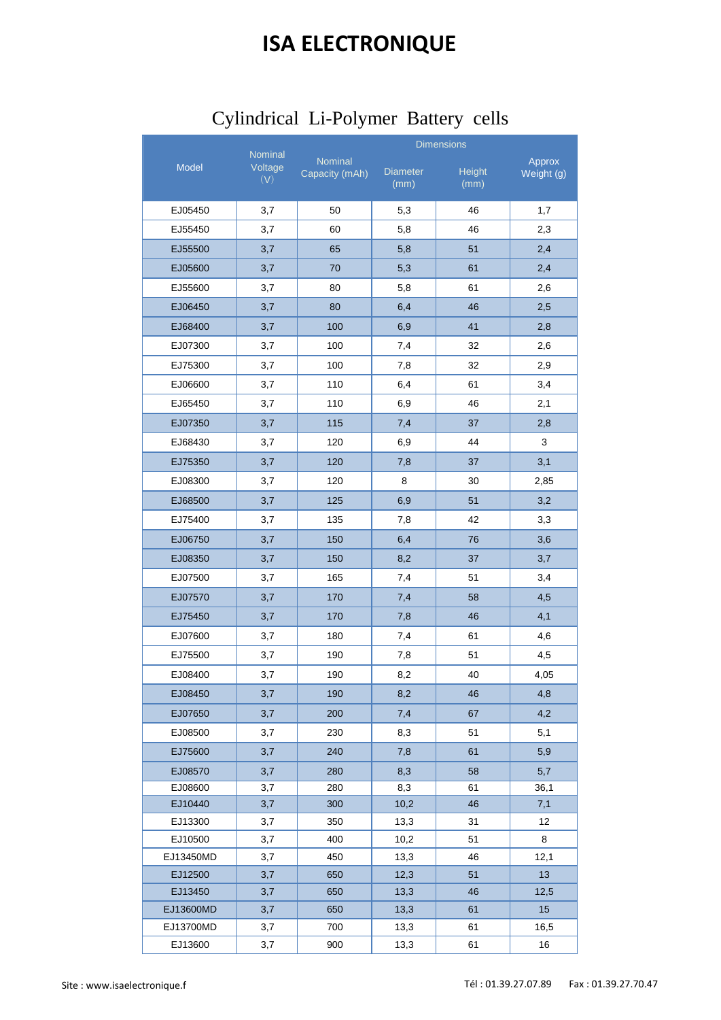## **ISA ELECTRONIQUE**

|                      |                    |                | <b>Dimensions</b> |               |            |
|----------------------|--------------------|----------------|-------------------|---------------|------------|
| Model                | Nominal<br>Voltage | Nominal        | <b>Diameter</b>   | <b>Height</b> | Approx     |
|                      | (V)                | Capacity (mAh) | (mm)              | (mm)          | Weight (g) |
| EJ05450              | 3,7                | 50             | 5,3               | 46            | 1,7        |
| EJ55450              | 3,7                | 60             | 5,8               | 46            | 2,3        |
| EJ55500              | 3,7                | 65             | 5,8               | 51            | 2,4        |
| EJ05600              | 3,7                | 70             | 5,3               | 61            | 2,4        |
| EJ55600              | 3,7                | 80             | 5,8               | 61            | 2,6        |
| EJ06450              | 3,7                | 80             | 6,4               | 46            | 2,5        |
| EJ68400              | 3,7                | 100            | 6,9               | 41            | 2,8        |
| EJ07300              | 3,7                | 100            | 7,4               | 32            | 2,6        |
| EJ75300              | 3,7                | 100            | 7,8               | 32            | 2,9        |
| EJ06600              | 3,7                | 110            | 6,4               | 61            | 3,4        |
| EJ65450              | 3,7                | 110            | 6,9               | 46            | 2,1        |
| EJ07350              | 3,7                | 115            | 7,4               | 37            | 2,8        |
| EJ68430              | 3,7                | 120            | 6,9               | 44            | 3          |
| EJ75350              | 3,7                | 120            | 7,8               | 37            | 3,1        |
| EJ08300              | 3,7                | 120            | 8                 | 30            | 2,85       |
| EJ68500              | 3,7                | 125            | 6,9               | 51            | 3,2        |
| EJ75400              | 3,7                | 135            | 7,8               | 42            | 3,3        |
| EJ06750              | 3,7                | 150            | 6,4               | 76            | 3,6        |
| EJ08350              | 3,7                | 150            | 8,2               | 37            | 3,7        |
| EJ07500              | 3,7                | 165            | 7,4               | 51            | 3,4        |
| EJ07570              | 3,7                | 170            | 7,4               | 58            | 4,5        |
| EJ75450              | 3,7                | 170            | 7,8               | 46            | 4,1        |
| EJ07600              | 3,7                | 180            | 7,4               | 61            | 4,6        |
| EJ75500              | 3,7                | 190            | 7,8               | 51            | 4,5        |
| EJ08400              | 3,7                | 190            | 8,2               | 40            | 4,05       |
| EJ08450              | 3,7                | 190            | 8,2               | 46            | 4,8        |
| EJ07650              | 3,7                | 200            | 7,4               | 67            | 4,2        |
| EJ08500              | 3,7                | 230            | 8,3               | 51            | 5,1        |
| EJ75600              | 3,7                | 240            | 7,8               | 61            | 5,9        |
| EJ08570              | 3,7                | 280            | 8,3               | 58            | 5,7        |
| EJ08600              | 3,7                | 280            | 8,3               | 61            | 36,1       |
| EJ10440              | 3,7                | 300            | 10,2              | 46            | 7,1        |
| EJ13300              | 3,7                | 350            | 13,3              | 31            | 12         |
| EJ10500              | 3,7                | 400            | 10,2              | 51            | 8          |
| EJ13450MD<br>EJ12500 | 3,7<br>3,7         | 450<br>650     | 13,3<br>12,3      | 46<br>51      | 12,1<br>13 |
| EJ13450              | 3,7                | 650            | 13,3              | 46            | 12,5       |
| EJ13600MD            | 3,7                | 650            | 13,3              | 61            | 15         |
| EJ13700MD            | 3,7                | 700            | 13,3              | 61            | 16,5       |
| EJ13600              | 3,7                | 900            | 13,3              | 61            | 16         |

## Cylindrical Li-Polymer Battery cells